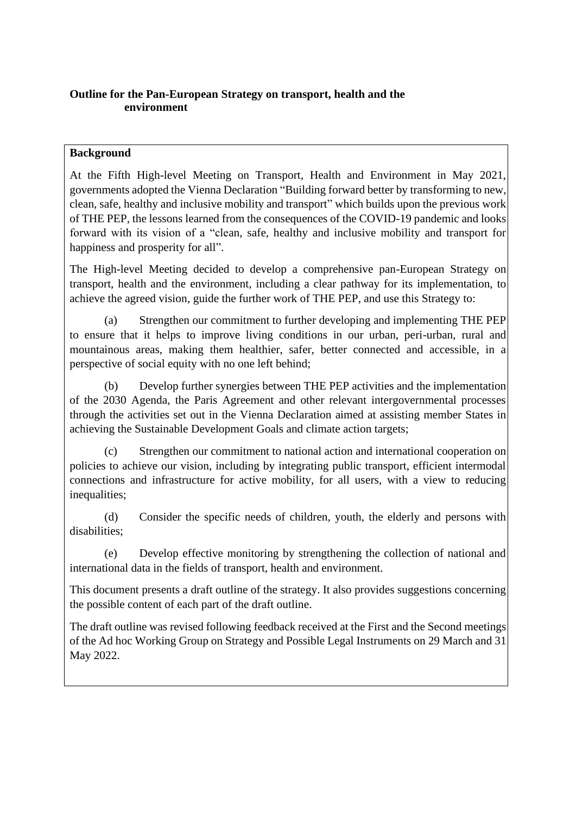## **Outline for the Pan-European Strategy on transport, health and the environment**

## **Background**

At the Fifth High-level Meeting on Transport, Health and Environment in May 2021, governments adopted the Vienna Declaration "Building forward better by transforming to new, clean, safe, healthy and inclusive mobility and transport" which builds upon the previous work of THE PEP, the lessons learned from the consequences of the COVID-19 pandemic and looks forward with its vision of a "clean, safe, healthy and inclusive mobility and transport for happiness and prosperity for all".

The High-level Meeting decided to develop a comprehensive pan-European Strategy on transport, health and the environment, including a clear pathway for its implementation, to achieve the agreed vision, guide the further work of THE PEP, and use this Strategy to:

(a) Strengthen our commitment to further developing and implementing THE PEP to ensure that it helps to improve living conditions in our urban, peri-urban, rural and mountainous areas, making them healthier, safer, better connected and accessible, in a perspective of social equity with no one left behind;

(b) Develop further synergies between THE PEP activities and the implementation of the 2030 Agenda, the Paris Agreement and other relevant intergovernmental processes through the activities set out in the Vienna Declaration aimed at assisting member States in achieving the Sustainable Development Goals and climate action targets;

(c) Strengthen our commitment to national action and international cooperation on policies to achieve our vision, including by integrating public transport, efficient intermodal connections and infrastructure for active mobility, for all users, with a view to reducing inequalities;

(d) Consider the specific needs of children, youth, the elderly and persons with disabilities;

(e) Develop effective monitoring by strengthening the collection of national and international data in the fields of transport, health and environment.

This document presents a draft outline of the strategy. It also provides suggestions concerning the possible content of each part of the draft outline.

The draft outline was revised following feedback received at the First and the Second meetings of the Ad hoc Working Group on Strategy and Possible Legal Instruments on 29 March and 31 May 2022.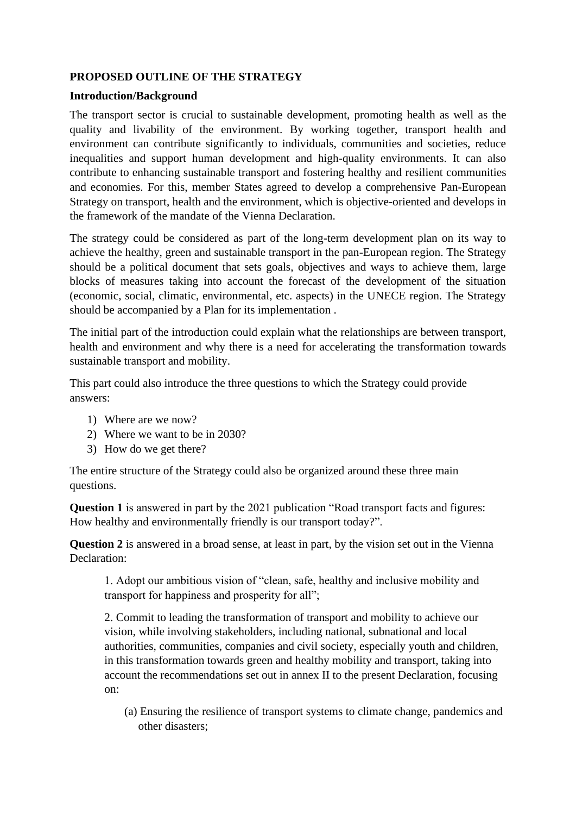### **PROPOSED OUTLINE OF THE STRATEGY**

#### **Introduction/Background**

The transport sector is crucial to sustainable development, promoting health as well as the quality and livability of the environment. By working together, transport health and environment can contribute significantly to individuals, communities and societies, reduce inequalities and support human development and high-quality environments. It can also contribute to enhancing sustainable transport and fostering healthy and resilient communities and economies. For this, member States agreed to develop a comprehensive Pan-European Strategy on transport, health and the environment, which is objective-oriented and develops in the framework of the mandate of the Vienna Declaration.

The strategy could be considered as part of the long-term development plan on its way to achieve the healthy, green and sustainable transport in the pan-European region. The Strategy should be a political document that sets goals, objectives and ways to achieve them, large blocks of measures taking into account the forecast of the development of the situation (economic, social, climatic, environmental, etc. aspects) in the UNECE region. The Strategy should be accompanied by a Plan for its implementation .

The initial part of the introduction could explain what the relationships are between transport, health and environment and why there is a need for accelerating the transformation towards sustainable transport and mobility.

This part could also introduce the three questions to which the Strategy could provide answers:

- 1) Where are we now?
- 2) Where we want to be in 2030?
- 3) How do we get there?

The entire structure of the Strategy could also be organized around these three main questions.

**Question 1** is answered in part by the 2021 publication "Road transport facts and figures: How healthy and environmentally friendly is our transport today?".

**Question 2** is answered in a broad sense, at least in part, by the vision set out in the Vienna Declaration:

1. Adopt our ambitious vision of "clean, safe, healthy and inclusive mobility and transport for happiness and prosperity for all";

2. Commit to leading the transformation of transport and mobility to achieve our vision, while involving stakeholders, including national, subnational and local authorities, communities, companies and civil society, especially youth and children, in this transformation towards green and healthy mobility and transport, taking into account the recommendations set out in annex II to the present Declaration, focusing on:

(a) Ensuring the resilience of transport systems to climate change, pandemics and other disasters;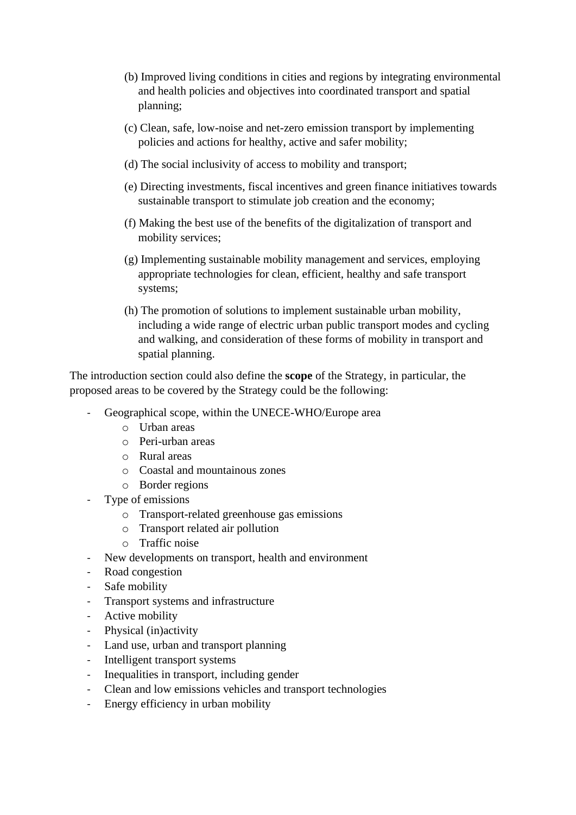- (b) Improved living conditions in cities and regions by integrating environmental and health policies and objectives into coordinated transport and spatial planning;
- (c) Clean, safe, low-noise and net-zero emission transport by implementing policies and actions for healthy, active and safer mobility;
- (d) The social inclusivity of access to mobility and transport;
- (e) Directing investments, fiscal incentives and green finance initiatives towards sustainable transport to stimulate job creation and the economy;
- (f) Making the best use of the benefits of the digitalization of transport and mobility services;
- (g) Implementing sustainable mobility management and services, employing appropriate technologies for clean, efficient, healthy and safe transport systems;
- (h) The promotion of solutions to implement sustainable urban mobility, including a wide range of electric urban public transport modes and cycling and walking, and consideration of these forms of mobility in transport and spatial planning.

The introduction section could also define the **scope** of the Strategy, in particular, the proposed areas to be covered by the Strategy could be the following:

- Geographical scope, within the UNECE-WHO/Europe area
	- o Urban areas
	- o Peri-urban areas
	- o Rural areas
	- o Coastal and mountainous zones
	- o Border regions
- Type of emissions
	- o Transport-related greenhouse gas emissions
	- o Transport related air pollution
	- o Traffic noise
- New developments on transport, health and environment
- Road congestion
- Safe mobility
- Transport systems and infrastructure
- Active mobility
- Physical (in)activity
- Land use, urban and transport planning
- Intelligent transport systems
- Inequalities in transport, including gender
- Clean and low emissions vehicles and transport technologies
- Energy efficiency in urban mobility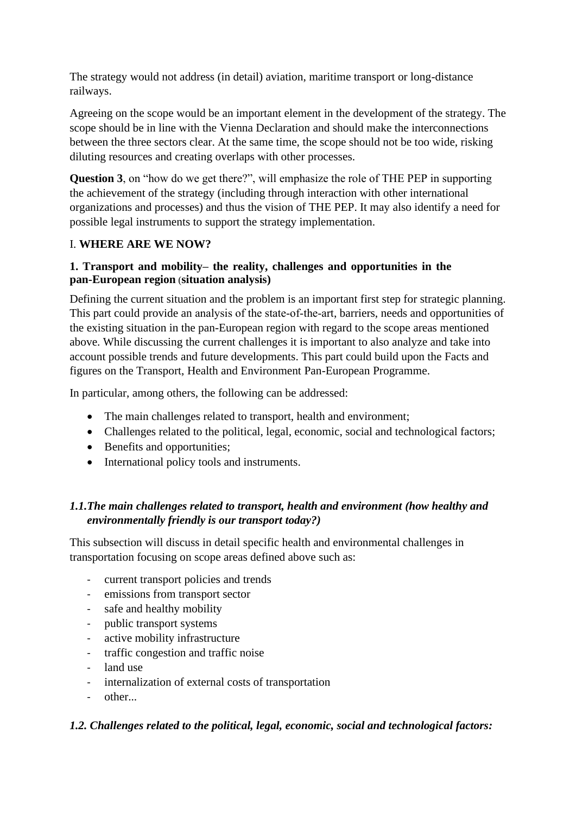The strategy would not address (in detail) aviation, maritime transport or long-distance railways.

Agreeing on the scope would be an important element in the development of the strategy. The scope should be in line with the Vienna Declaration and should make the interconnections between the three sectors clear. At the same time, the scope should not be too wide, risking diluting resources and creating overlaps with other processes.

**Question 3**, on "how do we get there?", will emphasize the role of THE PEP in supporting the achievement of the strategy (including through interaction with other international organizations and processes) and thus the vision of THE PEP. It may also identify a need for possible legal instruments to support the strategy implementation.

# I. **WHERE ARE WE NOW?**

## **1. Transport and mobility– the reality, challenges and opportunities in the pan-European region** (**situation analysis)**

Defining the current situation and the problem is an important first step for strategic planning. This part could provide an analysis of the state‐of‐the‐art, barriers, needs and opportunities of the existing situation in the pan-European region with regard to the scope areas mentioned above. While discussing the current challenges it is important to also analyze and take into account possible trends and future developments. This part could build upon the Facts and figures on the Transport, Health and Environment Pan-European Programme.

In particular, among others, the following can be addressed:

- The main challenges related to transport, health and environment;
- Challenges related to the political, legal, economic, social and technological factors;
- Benefits and opportunities;
- International policy tools and instruments.

# *1.1.The main challenges related to transport, health and environment (how healthy and environmentally friendly is our transport today?)*

This subsection will discuss in detail specific health and environmental challenges in transportation focusing on scope areas defined above such as:

- current transport policies and trends
- emissions from transport sector
- safe and healthy mobility
- public transport systems
- active mobility infrastructure
- traffic congestion and traffic noise
- land use
- internalization of external costs of transportation
- other...

#### *1.2. Challenges related to the political, legal, economic, social and technological factors:*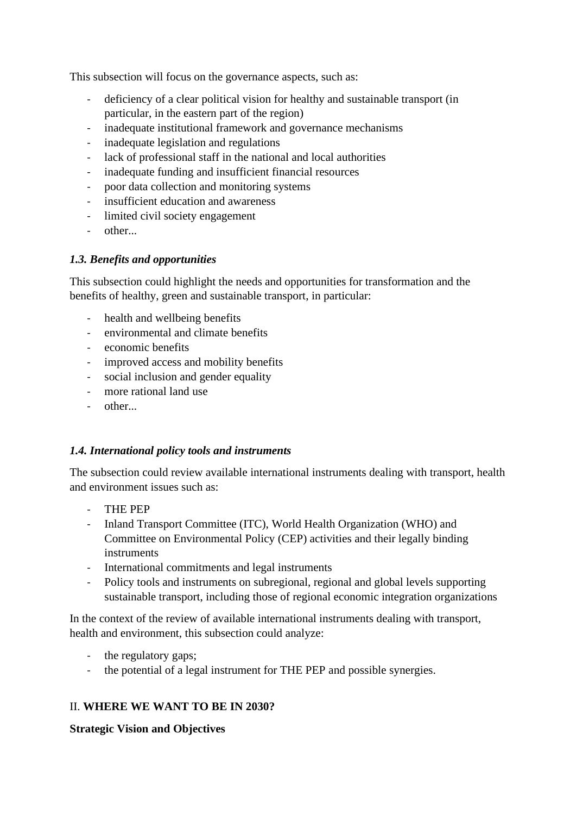This subsection will focus on the governance aspects, such as:

- deficiency of a clear political vision for healthy and sustainable transport (in particular, in the eastern part of the region)
- inadequate institutional framework and governance mechanisms
- inadequate legislation and regulations
- lack of professional staff in the national and local authorities
- inadequate funding and insufficient financial resources
- poor data collection and monitoring systems
- insufficient education and awareness
- limited civil society engagement
- other...

## *1.3. Benefits and opportunities*

This subsection could highlight the needs and opportunities for transformation and the benefits of healthy, green and sustainable transport, in particular:

- health and wellbeing benefits
- environmental and climate benefits
- economic benefits
- improved access and mobility benefits
- social inclusion and gender equality
- more rational land use
- other...

### *1.4. International policy tools and instruments*

The subsection could review available international instruments dealing with transport, health and environment issues such as:

- THE PEP
- Inland Transport Committee (ITC), World Health Organization (WHO) and Committee on Environmental Policy (CEP) activities and their legally binding instruments
- International commitments and legal instruments
- Policy tools and instruments on subregional, regional and global levels supporting sustainable transport, including those of regional economic integration organizations

In the context of the review of available international instruments dealing with transport, health and environment, this subsection could analyze:

- the regulatory gaps;
- the potential of a legal instrument for THE PEP and possible synergies.

# II. **WHERE WE WANT TO BE IN 2030?**

**Strategic Vision and Objectives**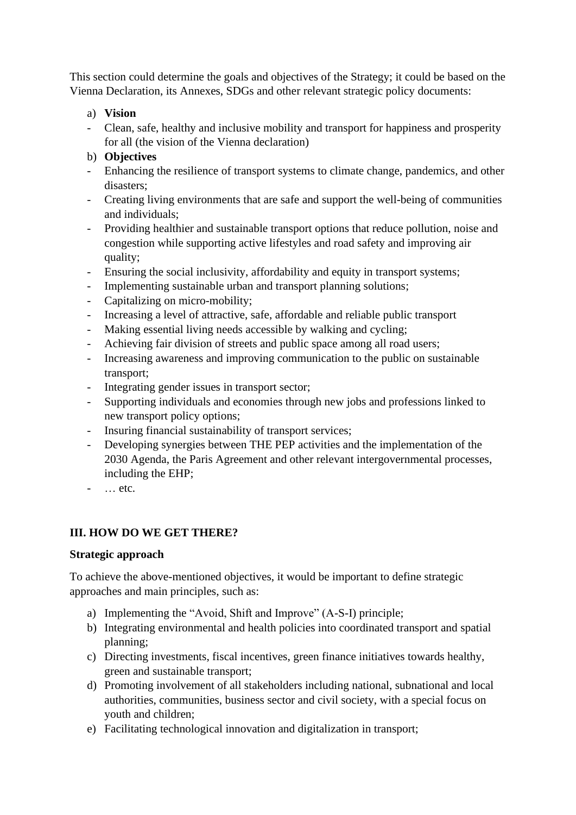This section could determine the goals and objectives of the Strategy; it could be based on the Vienna Declaration, its Annexes, SDGs and other relevant strategic policy documents:

## a) **Vision**

- Clean, safe, healthy and inclusive mobility and transport for happiness and prosperity for all (the vision of the Vienna declaration)
- b) **Objectives**
- Enhancing the resilience of transport systems to climate change, pandemics, and other disasters;
- Creating living environments that are safe and support the well-being of communities and individuals;
- Providing healthier and sustainable transport options that reduce pollution, noise and congestion while supporting active lifestyles and road safety and improving air quality;
- Ensuring the social inclusivity, affordability and equity in transport systems;
- Implementing sustainable urban and transport planning solutions;
- Capitalizing on micro-mobility;
- Increasing a level of attractive, safe, affordable and reliable public transport
- Making essential living needs accessible by walking and cycling;
- Achieving fair division of streets and public space among all road users;
- Increasing awareness and improving communication to the public on sustainable transport;
- Integrating gender issues in transport sector;
- Supporting individuals and economies through new jobs and professions linked to new transport policy options;
- Insuring financial sustainability of transport services;
- Developing synergies between THE PEP activities and the implementation of the 2030 Agenda, the Paris Agreement and other relevant intergovernmental processes, including the EHP;
- … etc.

# **III. HOW DO WE GET THERE?**

### **Strategic approach**

To achieve the above-mentioned objectives, it would be important to define strategic approaches and main principles, such as:

- a) Implementing the "Avoid, Shift and Improve" (A-S-I) principle;
- b) Integrating environmental and health policies into coordinated transport and spatial planning;
- c) Directing investments, fiscal incentives, green finance initiatives towards healthy, green and sustainable transport;
- d) Promoting involvement of all stakeholders including national, subnational and local authorities, communities, business sector and civil society, with a special focus on youth and children;
- e) Facilitating technological innovation and digitalization in transport;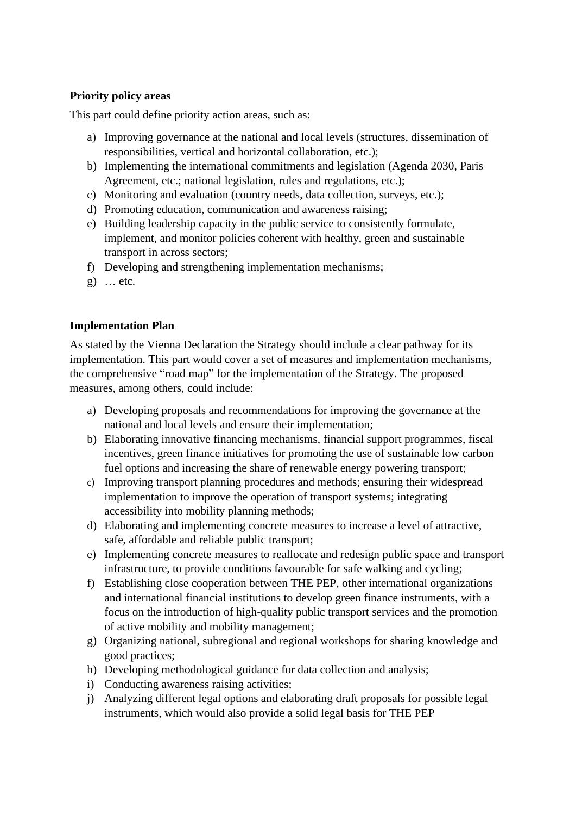## **Priority policy areas**

This part could define priority action areas, such as:

- a) Improving governance at the national and local levels (structures, dissemination of responsibilities, vertical and horizontal collaboration, etc.);
- b) Implementing the international commitments and legislation (Agenda 2030, Paris Agreement, etc.; national legislation, rules and regulations, etc.);
- c) Monitoring and evaluation (country needs, data collection, surveys, etc.);
- d) Promoting education, communication and awareness raising;
- e) Building leadership capacity in the public service to consistently formulate, implement, and monitor policies coherent with healthy, green and sustainable transport in across sectors;
- f) Developing and strengthening implementation mechanisms;
- g) … etc.

### **Implementation Plan**

As stated by the Vienna Declaration the Strategy should include a clear pathway for its implementation. This part would cover a set of measures and implementation mechanisms, the comprehensive "road map" for the implementation of the Strategy. The proposed measures, among others, could include:

- a) Developing proposals and recommendations for improving the governance at the national and local levels and ensure their implementation;
- b) Elaborating innovative financing mechanisms, financial support programmes, fiscal incentives, green finance initiatives for promoting the use of sustainable low carbon fuel options and increasing the share of renewable energy powering transport;
- c) Improving transport planning procedures and methods; ensuring their widespread implementation to improve the operation of transport systems; integrating accessibility into mobility planning methods;
- d) Elaborating and implementing concrete measures to increase a level of attractive, safe, affordable and reliable public transport;
- e) Implementing concrete measures to reallocate and redesign public space and transport infrastructure, to provide conditions favourable for safe walking and cycling;
- f) Establishing close cooperation between THE PEP, other international organizations and international financial institutions to develop green finance instruments, with a focus on the introduction of high-quality public transport services and the promotion of active mobility and mobility management;
- g) Organizing national, subregional and regional workshops for sharing knowledge and good practices;
- h) Developing methodological guidance for data collection and analysis;
- i) Conducting awareness raising activities;
- j) Analyzing different legal options and elaborating draft proposals for possible legal instruments, which would also provide a solid legal basis for THE PEP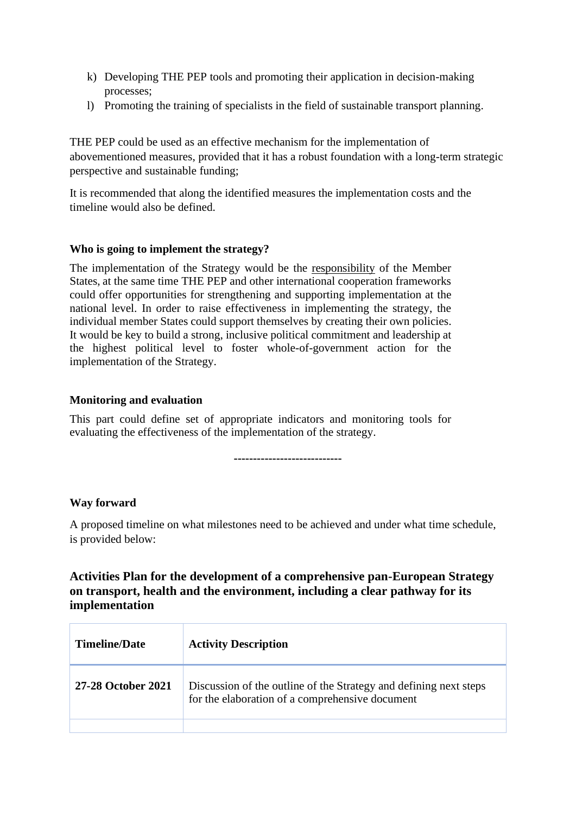- k) Developing THE PEP tools and promoting their application in decision-making processes;
- l) Promoting the training of specialists in the field of sustainable transport planning.

THE PEP could be used as an effective mechanism for the implementation of abovementioned measures, provided that it has a robust foundation with a long-term strategic perspective and sustainable funding;

It is recommended that along the identified measures the implementation costs and the timeline would also be defined.

#### **Who is going to implement the strategy?**

The implementation of the Strategy would be the responsibility of the Member States, at the same time THE PEP and other international cooperation frameworks could offer opportunities for strengthening and supporting implementation at the national level. In order to raise effectiveness in implementing the strategy, the individual member States could support themselves by creating their own policies. It would be key to build a strong, inclusive political commitment and leadership at the highest political level to foster whole-of-government action for the implementation of the Strategy.

#### **Monitoring and evaluation**

This part could define set of appropriate indicators and monitoring tools for evaluating the effectiveness of the implementation of the strategy.

**----------------------------**

### **Way forward**

A proposed timeline on what milestones need to be achieved and under what time schedule, is provided below:

# **Activities Plan for the development of a comprehensive pan-European Strategy on transport, health and the environment, including a clear pathway for its implementation**

| <b>Timeline/Date</b> | <b>Activity Description</b>                                                                                          |
|----------------------|----------------------------------------------------------------------------------------------------------------------|
| 27-28 October 2021   | Discussion of the outline of the Strategy and defining next steps<br>for the elaboration of a comprehensive document |
|                      |                                                                                                                      |